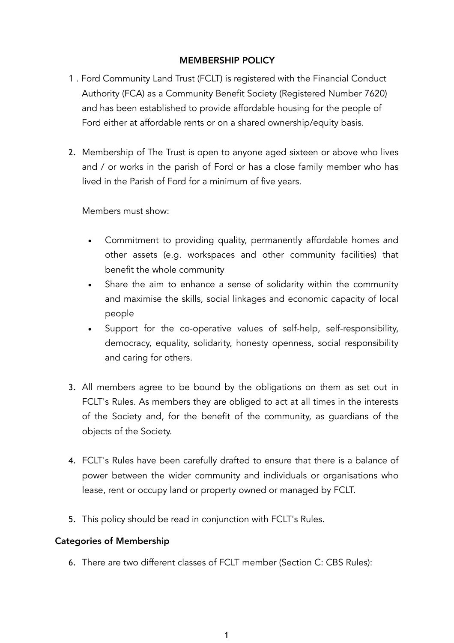# MEMBERSHIP POLICY

- 1 . Ford Community Land Trust (FCLT) is registered with the Financial Conduct Authority (FCA) as a Community Benefit Society (Registered Number 7620) and has been established to provide affordable housing for the people of Ford either at affordable rents or on a shared ownership/equity basis.
- 2. Membership of The Trust is open to anyone aged sixteen or above who lives and / or works in the parish of Ford or has a close family member who has lived in the Parish of Ford for a minimum of five years.

Members must show:

- Commitment to providing quality, permanently affordable homes and other assets (e.g. workspaces and other community facilities) that benefit the whole community
- Share the aim to enhance a sense of solidarity within the community and maximise the skills, social linkages and economic capacity of local people
- Support for the co-operative values of self-help, self-responsibility, democracy, equality, solidarity, honesty openness, social responsibility and caring for others.
- 3. All members agree to be bound by the obligations on them as set out in FCLT's Rules. As members they are obliged to act at all times in the interests of the Society and, for the benefit of the community, as guardians of the objects of the Society.
- 4. FCLT's Rules have been carefully drafted to ensure that there is a balance of power between the wider community and individuals or organisations who lease, rent or occupy land or property owned or managed by FCLT.
- 5. This policy should be read in conjunction with FCLT's Rules.

## Categories of Membership

6. There are two different classes of FCLT member (Section C: CBS Rules):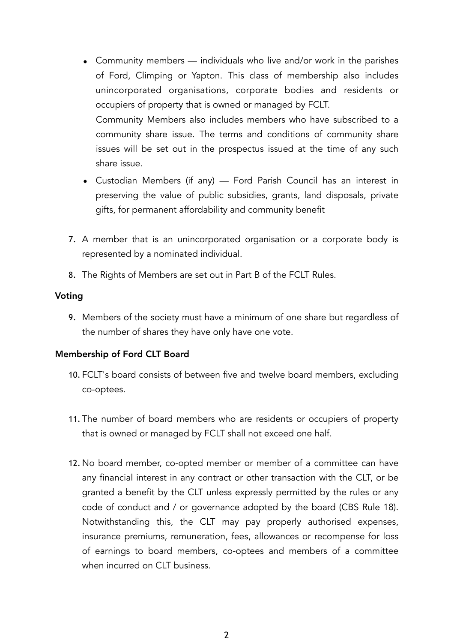- Community members individuals who live and/or work in the parishes of Ford, Climping or Yapton. This class of membership also includes unincorporated organisations, corporate bodies and residents or occupiers of property that is owned or managed by FCLT. Community Members also includes members who have subscribed to a community share issue. The terms and conditions of community share issues will be set out in the prospectus issued at the time of any such share issue.
- Custodian Members (if any) Ford Parish Council has an interest in preserving the value of public subsidies, grants, land disposals, private gifts, for permanent affordability and community benefit
- 7. A member that is an unincorporated organisation or a corporate body is represented by a nominated individual.
- 8. The Rights of Members are set out in Part B of the FCLT Rules.

#### Voting

9. Members of the society must have a minimum of one share but regardless of the number of shares they have only have one vote.

#### Membership of Ford CLT Board

- 10. FCLT's board consists of between five and twelve board members, excluding co-optees.
- 11. The number of board members who are residents or occupiers of property that is owned or managed by FCLT shall not exceed one half.
- 12. No board member, co-opted member or member of a committee can have any financial interest in any contract or other transaction with the CLT, or be granted a benefit by the CLT unless expressly permitted by the rules or any code of conduct and / or governance adopted by the board (CBS Rule 18). Notwithstanding this, the CLT may pay properly authorised expenses, insurance premiums, remuneration, fees, allowances or recompense for loss of earnings to board members, co-optees and members of a committee when incurred on CLT business.